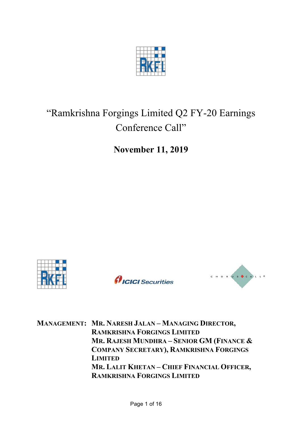

# "Ramkrishna Forgings Limited Q2 FY-20 Earnings Conference Call"

**November 11, 2019**







**MANAGEMENT: MR. NARESH JALAN – MANAGING DIRECTOR, RAMKRISHNA FORGINGS LIMITED MR. RAJESH MUNDHRA – SENIOR GM (FINANCE & COMPANY SECRETARY), RAMKRISHNA FORGINGS LIMITED MR. LALIT KHETAN – CHIEF FINANCIAL OFFICER, RAMKRISHNA FORGINGS LIMITED**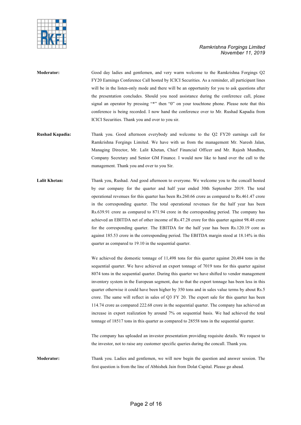

- **Moderator:** Good day ladies and gentlemen, and very warm welcome to the Ramkrishna Forgings Q2 FY20 Earnings Conference Call hosted by ICICI Securities. As a reminder, all participant lines will be in the listen-only mode and there will be an opportunity for you to ask questions after the presentation concludes. Should you need assistance during the conference call, please signal an operator by pressing "\*" then "0" on your touchtone phone. Please note that this conference is being recorded. I now hand the conference over to Mr. Rushad Kapadia from ICICI Securities. Thank you and over to you sir.
- **Rushad Kapadia:** Thank you. Good afternoon everybody and welcome to the Q2 FY20 earnings call for Ramkrishna Forgings Limited. We have with us from the management Mr. Naresh Jalan, Managing Director, Mr. Lalit Khetan, Chief Financial Officer and Mr. Rajesh Mundhra, Company Secretary and Senior GM Finance. I would now like to hand over the call to the management. Thank you and over to you Sir.
- **Lalit Khetan:** Thank you, Rushad. And good afternoon to everyone. We welcome you to the concall hosted by our company for the quarter and half year ended 30th September 2019. The total operational revenues for this quarter has been Rs.260.66 crore as compared to Rs.461.47 crore in the corresponding quarter. The total operational revenues for the half year has been Rs.639.91 crore as compared to 871.94 crore in the corresponding period. The company has achieved an EBITDA net of other income of Rs.47.28 crore for this quarter against 98.48 crore for the corresponding quarter. The EBITDA for the half year has been Rs.120.19 core as against 185.53 crore in the corresponding period. The EBITDA margin stood at 18.14% in this quarter as compared to 19.10 in the sequential quarter.

We achieved the domestic tonnage of 11,498 tons for this quarter against 20,484 tons in the sequential quarter. We have achieved an export tonnage of 7019 tons for this quarter against 8074 tons in the sequential quarter. During this quarter we have shifted to vendor management inventory system in the European segment, due to that the export tonnage has been less in this quarter otherwise it could have been higher by 350 tons and in sales value terms by about Rs.5 crore. The same will reflect in sales of Q3 FY 20. The export sale for this quarter has been 114.74 crore as compared 222.68 crore in the sequential quarter. The company has achieved an increase in export realization by around 7% on sequential basis. We had achieved the total tonnage of 18517 tons in this quarter as compared to 28558 tons in the sequential quarter.

The company has uploaded an investor presentation providing requisite details. We request to the investor, not to raise any customer specific queries during the concall. Thank you.

**Moderator:** Thank you. Ladies and gentlemen, we will now begin the question and answer session. The first question is from the line of Abhishek Jain from Dolat Capital. Please go ahead.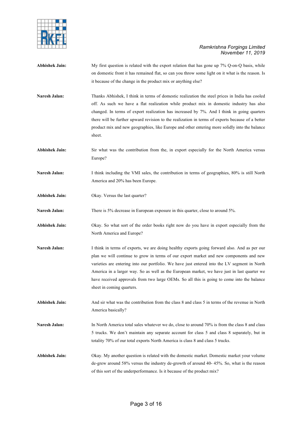

- **Abhishek Jain:** My first question is related with the export relation that has gone up 7% Q-on-Q basis, while on domestic front it has remained flat, so can you throw some light on it what is the reason. Is it because of the change in the product mix or anything else?
- **Naresh Jalan:** Thanks Abhishek, I think in terms of domestic realization the steel prices in India has cooled off. As such we have a flat realization while product mix in domestic industry has also changed. In terms of export realization has increased by 7%. And I think in going quarters there will be further upward revision to the realization in terms of exports because of a better product mix and new geographies, like Europe and other entering more solidly into the balance sheet.
- **Abhishek Jain:** Sir what was the contribution from the, in export especially for the North America versus Europe?
- Naresh Jalan: I think including the VMI sales, the contribution in terms of geographies, 80% is still North America and 20% has been Europe.
- **Abhishek Jain:** Okay. Versus the last quarter?
- **Naresh Jalan:** There is 5% decrease in European exposure in this quarter, close to around 5%.
- **Abhishek Jain:** Okay. So what sort of the order books right now do you have in export especially from the North America and Europe?
- **Naresh Jalan:** I think in terms of exports, we are doing healthy exports going forward also. And as per our plan we will continue to grow in terms of our export market and new components and new varieties are entering into our portfolio. We have just entered into the LV segment in North America in a larger way. So as well as the European market, we have just in last quarter we have received approvals from two large OEMs. So all this is going to come into the balance sheet in coming quarters.
- **Abhishek Jain:** And sir what was the contribution from the class 8 and class 5 in terms of the revenue in North America basically?
- **Naresh Jalan:** In North America total sales whatever we do, close to around 70% is from the class 8 and class 5 trucks. We don't maintain any separate account for class 5 and class 8 separately, but in totality 70% of our total exports North America is class 8 and class 5 trucks.
- **Abhishek Jain:** Okay. My another question is related with the domestic market. Domestic market your volume de-grew around 58% versus the industry de-growth of around 40- 45%. So, what is the reason of this sort of the underperformance. Is it because of the product mix?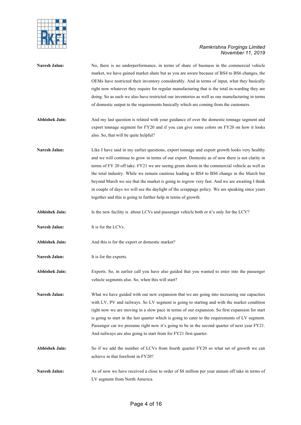

| <b>Naresh Jalan:</b>  | No, there is no underperformance, in terms of share of business in the commercial vehicle<br>market, we have gained market share but as you are aware because of BS4 to BS6 changes, the<br>OEMs have restricted their inventory considerably. And in terms of input, what they basically<br>right now whatever they require for regular manufacturing that is the total in-warding they are                                                                                                                                                                                                                                                                          |
|-----------------------|-----------------------------------------------------------------------------------------------------------------------------------------------------------------------------------------------------------------------------------------------------------------------------------------------------------------------------------------------------------------------------------------------------------------------------------------------------------------------------------------------------------------------------------------------------------------------------------------------------------------------------------------------------------------------|
|                       | doing. So as such we also have restricted our inventories as well as our manufacturing in terms<br>of domestic output to the requirements basically which are coming from the customers.                                                                                                                                                                                                                                                                                                                                                                                                                                                                              |
| <b>Abhishek Jain:</b> | And my last question is related with your guidance of over the domestic tonnage segment and<br>export tonnage segment for FY20 and if you can give some colors on FY20 on how it looks<br>also. So, that will be quite helpful?                                                                                                                                                                                                                                                                                                                                                                                                                                       |
| Naresh Jalan:         | Like I have said in my earlier questions, export tonnage and export growth looks very healthy<br>and we will continue to grow in terms of our export. Domestic as of now there is not clarity in<br>terms of FY 20 off take. FY21 we are seeing green shoots in the commercial vehicle as well as<br>the total industry. While we remain cautious leading to BS4 to BS6 change in the March but<br>beyond March we see that the market is going to regrow very fast. And we are awaiting I think<br>in couple of days we will see the daylight of the scrappage policy. We are speaking since years<br>together and this is going to further help in terms of growth. |
| <b>Abhishek Jain:</b> | Is the new facility is about LCVs and passenger vehicle both or it's only for the LCV?                                                                                                                                                                                                                                                                                                                                                                                                                                                                                                                                                                                |
| Naresh Jalan:         | It is for the LCVs.                                                                                                                                                                                                                                                                                                                                                                                                                                                                                                                                                                                                                                                   |
| <b>Abhishek Jain:</b> | And this is for the export or domestic market?                                                                                                                                                                                                                                                                                                                                                                                                                                                                                                                                                                                                                        |
| Naresh Jalan:         | It is for the exports.                                                                                                                                                                                                                                                                                                                                                                                                                                                                                                                                                                                                                                                |
| <b>Abhishek Jain:</b> | Exports. So, in earlier call you have also guided that you wanted to enter into the passenger<br>vehicle segments also. So, when this will start?                                                                                                                                                                                                                                                                                                                                                                                                                                                                                                                     |
| Naresh Jalan:         | What we have guided with our new expansion that we are going into increasing our capacities<br>with LV, PV and railways. So LV segment is going to starting and with the market condition<br>right now we are moving in a slow pace in terms of our expansion. So first expansion for start<br>is going to start in the last quarter which is going to cater to the requirements of LV segment.<br>Passenger car we presume right now it's going to be in the second quarter of next year FY21.<br>And railways are also going to start from for FY21 first quarter.                                                                                                  |
| <b>Abhishek Jain:</b> | So if we add the number of LCVs from fourth quarter FY20 so what set of growth we can<br>achieve in that forefront in FY20?                                                                                                                                                                                                                                                                                                                                                                                                                                                                                                                                           |
| Naresh Jalan:         | As of now we have received a close to order of \$8 million per year annum off take in terms of<br>LV segment from North America.                                                                                                                                                                                                                                                                                                                                                                                                                                                                                                                                      |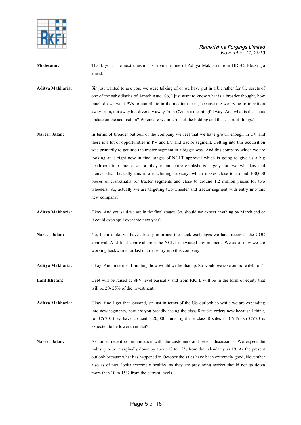

**Moderator:** Thank you. The next question is from the line of Aditya Makharia from HDFC. Please go ahead.

**Aditya Makharia:** Sir just wanted to ask you, we were talking of or we have put in a bit rather for the assets of one of the subsidiaries of Amtek Auto. So, I just want to know what is a broader thought, how much do we want PVs to contribute in the medium term, because are we trying to transition away from, not away but diversify away from CVs in a meaningful way. And what is the status update on the acquisition? Where are we in terms of the bidding and those sort of things?

- Naresh Jalan: In terms of broader outlook of the company we feel that we have grown enough in CV and there is a lot of opportunities in PV and LV and tractor segment. Getting into this acquisition was primarily to get into the tractor segment in a bigger way. And this company which we are looking at is right now in final stages of NCLT approval which is going to give us a big headroom into tractor sector, they manufacture crankshafts largely for two wheelers and crankshafts. Basically this is a machining capacity, which makes close to around 100,000 pieces of crankshafts for tractor segments and close to around 1.2 million pieces for two wheelers. So, actually we are targeting two-wheeler and tractor segment with entry into this new company.
- **Aditya Makharia:** Okay. And you said we are in the final stages. So, should we expect anything by March end or it could even spill over into next year?
- Naresh Jalan: No, I think like we have already informed the stock exchanges we have received the COC approval. And final approval from the NCLT is awaited any moment. We as of now we are working backwards for last quarter entry into this company.
- **Aditya Makharia:** Okay. And in terms of funding, how would we tie that up. So would we take on more debt or?

**Lalit Khetan:** Debt will be raised at SPV level basically and from RKFL will be in the form of equity that will be 20- 25% of the investment.

**Aditya Makharia:** Okay, fine I get that. Second, sir just in terms of the US outlook so while we are expanding into new segments, how are you broadly seeing the class 8 trucks orders now because I think, for CY20, they have crossed 3,20,000 units right the class 8 sales in CY19, so CY20 is expected to be lower than that?

**Naresh Jalan:** As far as recent communication with the customers and recent discussions. We expect the industry to be marginally down by about 10 to 15% from the calendar year 19. As the present outlook because what has happened in October the sales have been extremely good, November also as of now looks extremely healthy, so they are presuming market should not go down more than 10 to 15% from the current levels.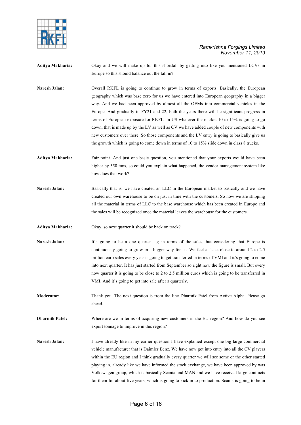

**Aditya Makharia:** Okay and we will make up for this shortfall by getting into like you mentioned LCVs in Europe so this should balance out the fall in?

**Naresh Jalan:** Overall RKFL is going to continue to grow in terms of exports. Basically, the European geography which was base zero for us we have entered into European geography in a bigger way. And we had been approved by almost all the OEMs into commercial vehicles in the Europe. And gradually in FY21 and 22, both the years there will be significant progress in terms of European exposure for RKFL. In US whatever the market 10 to 15% is going to go down, that is made up by the LV as well as CV we have added couple of new components with new customers over there. So those components and the LV entry is going to basically give us the growth which is going to come down in terms of 10 to 15% slide down in class 8 trucks.

**Aditya Makharia:** Fair point. And just one basic question, you mentioned that your exports would have been higher by 350 tons, so could you explain what happened, the vendor management system like how does that work?

**Naresh Jalan:** Basically that is, we have created an LLC in the European market to basically and we have created our own warehouse to be on just in time with the customers. So now we are shipping all the material in terms of LLC to the base warehouse which has been created in Europe and the sales will be recognized once the material leaves the warehouse for the customers.

**Aditya Makharia:** Okay, so next quarter it should be back on track?

Naresh Jalan: It's going to be a one quarter lag in terms of the sales, but considering that Europe is continuously going to grow in a bigger way for us. We feel at least close to around 2 to 2.5 million euro sales every year is going to get transferred in terms of VMI and it's going to come into next quarter. It has just started from September so right now the figure is small. But every now quarter it is going to be close to 2 to 2.5 million euros which is going to be transferred in VMI. And it's going to get into sale after a quarterly.

**Moderator:** Thank you. The next question is from the line Dharmik Patel from Active Alpha. Please go ahead.

**Dharmik Patel:** Where are we in terms of acquiring new customers in the EU region? And how do you see export tonnage to improve in this region?

**Naresh Jalan:** I have already like in my earlier question I have explained except one big large commercial vehicle manufacturer that is Daimler Benz. We have now got into entry into all the CV players within the EU region and I think gradually every quarter we will see some or the other started playing in, already like we have informed the stock exchange, we have been approved by was Volkswagen group, which is basically Scania and MAN and we have received large contracts for them for about five years, which is going to kick in to production. Scania is going to be in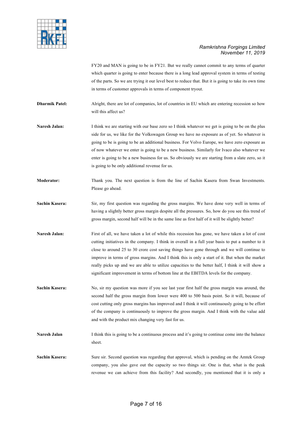

FY20 and MAN is going to be in FY21. But we really cannot commit to any terms of quarter which quarter is going to enter because there is a long lead approval system in terms of testing of the parts. So we are trying it our level best to reduce that. But it is going to take its own time in terms of customer approvals in terms of component tryout.

**Dharmik Patel:** Alright, there are lot of companies, lot of countries in EU which are entering recession so how will this affect us?

- **Naresh Jalan:** I think we are starting with our base zero so I think whatever we get is going to be on the plus side for us, we like for the Volkswagen Group we have no exposure as of yet. So whatever is going to be is going to be an additional business. For Volvo Europe, we have zero exposure as of now whatever we enter is going to be a new business. Similarly for Ivaco also whatever we enter is going to be a new business for us. So obviously we are starting from a slate zero, so it is going to be only additional revenue for us.
- **Moderator:** Thank you. The next question is from the line of Sachin Kasera from Swan Investments. Please go ahead.
- **Sachin Kasera:** Sir, my first question was regarding the gross margins. We have done very well in terms of having a slightly better gross margin despite all the pressures. So, how do you see this trend of gross margin, second half will be in the same line as first half of it will be slightly better?
- Naresh Jalan: First of all, we have taken a lot of while this recession has gone, we have taken a lot of cost cutting initiatives in the company. I think in overall in a full year basis to put a number to it close to around 25 to 30 crore cost saving things have gone through and we will continue to improve in terms of gross margins. And I think this is only a start of it. But when the market really picks up and we are able to utilize capacities to the better half, I think it will show a significant improvement in terms of bottom line at the EBITDA levels for the company.
- **Sachin Kasera:** No, sir my question was more if you see last year first half the gross margin was around, the second half the gross margin from lower were 400 to 500 basis point. So it will, because of cost cutting only gross margins has improved and I think it will continuously going to be effort of the company is continuously to improve the gross margin. And I think with the value add and with the product mix changing very fast for us.
- **Naresh Jalan** I think this is going to be a continuous process and it's going to continue come into the balance sheet.
- **Sachin Kasera:** Sure sir. Second question was regarding that approval, which is pending on the Amtek Group company, you also gave out the capacity so two things sir. One is that, what is the peak revenue we can achieve from this facility? And secondly, you mentioned that it is only a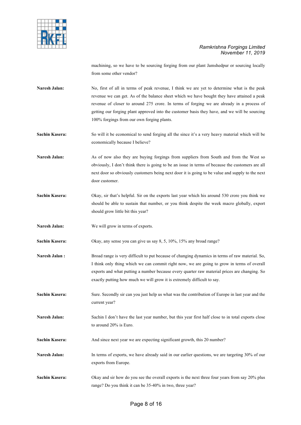

machining, so we have to be sourcing forging from our plant Jamshedpur or sourcing locally from some other vendor?

Naresh Jalan: No, first of all in terms of peak revenue, I think we are yet to determine what is the peak revenue we can get. As of the balance sheet which we have bought they have attained a peak revenue of closer to around 275 crore. In terms of forging we are already in a process of getting our forging plant approved into the customer basis they have, and we will be sourcing 100% forgings from our own forging plants.

**Sachin Kasera:** So will it be economical to send forging all the since it's a very heavy material which will be economically because I believe?

Naresh Jalan: As of now also they are buying forgings from suppliers from South and from the West so obviously, I don't think there is going to be an issue in terms of because the customers are all next door so obviously customers being next door it is going to be value and supply to the next door customer.

- **Sachin Kasera:** Okay, sir that's helpful. Sir on the exports last year which his around 530 crore you think we should be able to sustain that number, or you think despite the week macro globally, export should grow little bit this year?
- **Naresh Jalan:** We will grow in terms of exports.

**Sachin Kasera:** Okay, any sense you can give us say 8, 5, 10%, 15% any broad range?

**Naresh Jalan :** Broad range is very difficult to put because of changing dynamics in terms of raw material. So, I think only thing which we can commit right now, we are going to grow in terms of overall exports and what putting a number because every quarter raw material prices are changing. So exactly putting how much we will grow it is extremely difficult to say.

**Sachin Kasera:** Sure. Secondly sir can you just help us what was the contribution of Europe in last year and the current year?

**Naresh Jalan:** Sachin I don't have the last year number, but this year first half close to in total exports close to around 20% is Euro.

Sachin Kasera: And since next year we are expecting significant growth, this 20 number?

- Naresh Jalan: In terms of exports, we have already said in our earlier questions, we are targeting 30% of our exports from Europe.
- **Sachin Kasera:** Okay and sir how do you see the overall exports is the next three four years from say 20% plus range? Do you think it can be 35-40% in two, three year?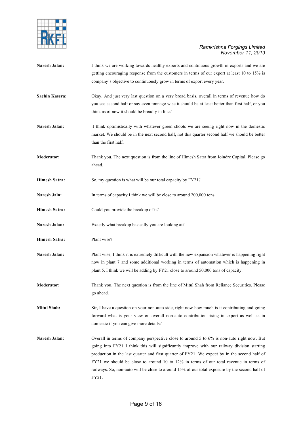

- Naresh Jalan: I think we are working towards healthy exports and continuous growth in exports and we are getting encouraging response from the customers in terms of our export at least 10 to 15% is company's objective to continuously grow in terms of export every year.
- **Sachin Kasera:** Okay. And just very last question on a very broad basis, overall in terms of revenue how do you see second half or say even tonnage wise it should be at least better than first half, or you think as of now it should be broadly in line?
- **Naresh Jalan:** I think optimistically with whatever green shoots we are seeing right now in the domestic market. We should be in the next second half, not this quarter second half we should be better than the first half.
- **Moderator:** Thank you. The next question is from the line of Himesh Satra from Joindre Capital. Please go ahead.
- **Himesh Satra:** So, my question is what will be our total capacity by FY21?
- **Naresh Jaln:** In terms of capacity I think we will be close to around 200,000 tons.
- **Himesh Satra:** Could you provide the breakup of it?
- Naresh Jalan: Exactly what breakup basically you are looking at?
- **Himesh Satra:** Plant wise?
- **Naresh Jalan:** Plant wise, I think it is extremely difficult with the new expansion whatever is happening right now in plant 7 and some additional working in terms of automation which is happening in plant 5. I think we will be adding by FY21 close to around 50,000 tons of capacity.
- **Moderator:** Thank you. The next question is from the line of Mitul Shah from Reliance Securities. Please go ahead.
- **Mitul Shah:** Sir, I have a question on your non-auto side, right now how much is it contributing and going forward what is your view on overall non-auto contribution rising in export as well as in domestic if you can give more details?
- Naresh Jalan: Overall in terms of company perspective close to around 5 to 6% is non-auto right now. But going into FY21 I think this will significantly improve with our railway division starting production in the last quarter and first quarter of FY21. We expect by in the second half of FY21 we should be close to around 10 to 12% in terms of our total revenue in terms of railways. So, non-auto will be close to around 15% of our total exposure by the second half of FY21.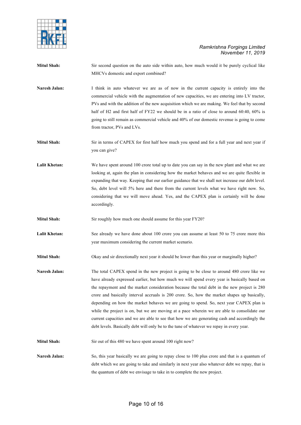

| <b>Mitul Shah:</b>   | Sir second question on the auto side within auto, how much would it be purely cyclical like                                                                                                       |
|----------------------|---------------------------------------------------------------------------------------------------------------------------------------------------------------------------------------------------|
|                      | MHCVs domestic and export combined?                                                                                                                                                               |
| Naresh Jalan:        | I think in auto whatever we are as of now in the current capacity is entirely into the<br>commercial vehicle with the augmentation of new capacities, we are entering into LV tractor,            |
|                      | PVs and with the addition of the new acquisition which we are making. We feel that by second                                                                                                      |
|                      | half of H2 and first half of FY22 we should be in a ratio of close to around 60:40, 60% is                                                                                                        |
|                      | going to still remain as commercial vehicle and 40% of our domestic revenue is going to come                                                                                                      |
|                      | from tractor, PVs and LVs.                                                                                                                                                                        |
| <b>Mitul Shah:</b>   | Sir in terms of CAPEX for first half how much you spend and for a full year and next year if                                                                                                      |
|                      | you can give?                                                                                                                                                                                     |
| <b>Lalit Khetan:</b> | We have spent around 100 crore total up to date you can say in the new plant and what we are                                                                                                      |
|                      | looking at, again the plan in considering how the market behaves and we are quite flexible in<br>expanding that way. Keeping that our earlier guidance that we shall not increase our debt level. |
|                      | So, debt level will 5% here and there from the current levels what we have right now. So,                                                                                                         |
|                      | considering that we will move ahead. Yes, and the CAPEX plan is certainly will be done                                                                                                            |
|                      | accordingly.                                                                                                                                                                                      |
| <b>Mitul Shah:</b>   | Sir roughly how much one should assume for this year FY20?                                                                                                                                        |
| Lalit Khetan:        | See already we have done about 100 crore you can assume at least 50 to 75 crore more this                                                                                                         |
|                      | year maximum considering the current market scenario.                                                                                                                                             |
| <b>Mitul Shah:</b>   | Okay and sir directionally next year it should be lower than this year or marginally higher?                                                                                                      |
| Naresh Jalan:        | The total CAPEX spend in the new project is going to be close to around 480 crore like we                                                                                                         |
|                      | have already expressed earlier, but how much we will spend every year is basically based on                                                                                                       |
|                      | the repayment and the market consideration because the total debt in the new project is 280                                                                                                       |
|                      | crore and basically interval accruals is 200 crore. So, how the market shapes up basically,                                                                                                       |
|                      | depending on how the market behaves we are going to spend. So, next year CAPEX plan is                                                                                                            |
|                      | while the project is on, but we are moving at a pace wherein we are able to consolidate our                                                                                                       |
|                      | current capacities and we are able to see that how we are generating cash and accordingly the                                                                                                     |
|                      | debt levels. Basically debt will only be to the tune of whatever we repay in every year.                                                                                                          |
| <b>Mitul Shah:</b>   | Sir out of this 480 we have spent around 100 right now?                                                                                                                                           |
| Naresh Jalan:        | So, this year basically we are going to repay close to 100 plus crore and that is a quantum of                                                                                                    |
|                      | debt which we are going to take and similarly in next year also whatever debt we repay, that is                                                                                                   |
|                      | the quantum of debt we envisage to take in to complete the new project.                                                                                                                           |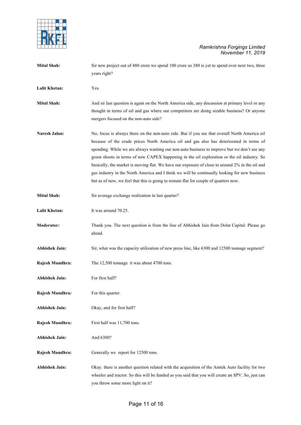

| <b>Mitul Shah:</b>    | Sir new project out of 480 crore we spend 100 crore so 380 is yet to spend over next two, three<br>years right?                                                                                                                                                                                                                                                                                                                                                                                                                                                                                                                                                                    |
|-----------------------|------------------------------------------------------------------------------------------------------------------------------------------------------------------------------------------------------------------------------------------------------------------------------------------------------------------------------------------------------------------------------------------------------------------------------------------------------------------------------------------------------------------------------------------------------------------------------------------------------------------------------------------------------------------------------------|
| <b>Lalit Khetan:</b>  | Yes.                                                                                                                                                                                                                                                                                                                                                                                                                                                                                                                                                                                                                                                                               |
| <b>Mitul Shah:</b>    | And sir last question is again on the North America side, any discussion at primary level or any<br>thought in terms of oil and gas where our competitors are doing sizable business? Or anyone<br>mergers focused on the non-auto side?                                                                                                                                                                                                                                                                                                                                                                                                                                           |
| Naresh Jalan:         | No, focus is always there on the non-auto side. But if you see that overall North America oil<br>because of the crude prices North America oil and gas also has deteriorated in terms of<br>spending. While we are always wanting our non-auto business to improve but we don't see any<br>green shoots in terms of new CAPEX happening in the oil exploration or the oil industry. So<br>basically, the market is moving flat. We have our exposure of close to around 2% in the oil and<br>gas industry in the North America and I think we will be continually looking for new business<br>but as of now, we feel that this is going to remain flat for couple of quarters now. |
| <b>Mitul Shah:</b>    | Sir average exchange realization in last quarter?                                                                                                                                                                                                                                                                                                                                                                                                                                                                                                                                                                                                                                  |
| Lalit Khetan:         | It was around 70.25.                                                                                                                                                                                                                                                                                                                                                                                                                                                                                                                                                                                                                                                               |
| Moderator:            | Thank you. The next question is from the line of Abhishek Jain from Dolat Capital. Please go<br>ahead.                                                                                                                                                                                                                                                                                                                                                                                                                                                                                                                                                                             |
| <b>Abhishek Jain:</b> | Sir, what was the capacity utilization of new press line, like 6300 and 12500 tonnage segment?                                                                                                                                                                                                                                                                                                                                                                                                                                                                                                                                                                                     |
| Rajesh Mundhra:       | The 12,500 tonnage it was about 4700 tons.                                                                                                                                                                                                                                                                                                                                                                                                                                                                                                                                                                                                                                         |
| <b>Abhishek Jain:</b> | For first half?                                                                                                                                                                                                                                                                                                                                                                                                                                                                                                                                                                                                                                                                    |
| Rajesh Mundhra:       | For this quarter.                                                                                                                                                                                                                                                                                                                                                                                                                                                                                                                                                                                                                                                                  |
| <b>Abhishek Jain:</b> | Okay, and for first half?                                                                                                                                                                                                                                                                                                                                                                                                                                                                                                                                                                                                                                                          |
| Rajesh Mundhra:       | First half was 11,700 tons.                                                                                                                                                                                                                                                                                                                                                                                                                                                                                                                                                                                                                                                        |
| <b>Abhishek Jain:</b> | And 6300?                                                                                                                                                                                                                                                                                                                                                                                                                                                                                                                                                                                                                                                                          |
| Rajesh Mundhra:       | Generally we report for 12500 tons.                                                                                                                                                                                                                                                                                                                                                                                                                                                                                                                                                                                                                                                |
| <b>Abhishek Jain:</b> | Okay. there is another question related with the acquisition of the Amtek Auto facility for two<br>wheeler and tractor. So this will be funded as you said that you will create an SPV. So, just can<br>you throw some more light on it?                                                                                                                                                                                                                                                                                                                                                                                                                                           |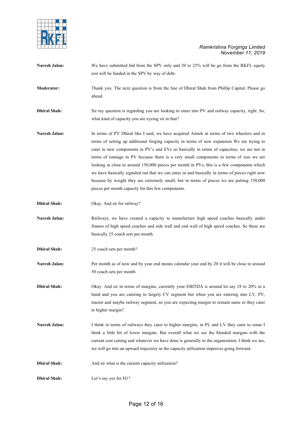

| Naresh Jalan:       | We have submitted bid from the SPV only and 20 to 25% will be go from the RKFL equity<br>rest will be funded in the SPV by way of debt.                                                                                                                                                                                                                                                                                                                                                                                                                                                                                                                                                                                             |
|---------------------|-------------------------------------------------------------------------------------------------------------------------------------------------------------------------------------------------------------------------------------------------------------------------------------------------------------------------------------------------------------------------------------------------------------------------------------------------------------------------------------------------------------------------------------------------------------------------------------------------------------------------------------------------------------------------------------------------------------------------------------|
| <b>Moderator:</b>   | Thank you. The next question is from the line of Dhiral Shah from Phillip Capital. Please go<br>ahead.                                                                                                                                                                                                                                                                                                                                                                                                                                                                                                                                                                                                                              |
| <b>Dhiral Shah:</b> | Sir my question is regarding you are looking to enter into PV and railway capacity, right. So,<br>what kind of capacity you are eyeing sir in that?                                                                                                                                                                                                                                                                                                                                                                                                                                                                                                                                                                                 |
| Naresh Jalan:       | In terms of PV Dhiral like I said, we have acquired Amtek in terms of two wheelers and in<br>terms of setting up additional forging capacity in terms of new expansion We are trying to<br>cater to new components in PV's and EVs so basically in terms of capacities, we are not in<br>terms of tonnage in PV because there is a very small components in terms of size we are<br>looking at close to around 150,000 pieces per month in PVs, this is a few components which<br>we have basically signaled out that we can enter in and basically in terms of pieces right now<br>because by weight they are extremely small, but in terms of pieces we are putting 150,000<br>pieces per month capacity for this few components. |
| <b>Dhiral Shah:</b> | Okay. And sir for railway?                                                                                                                                                                                                                                                                                                                                                                                                                                                                                                                                                                                                                                                                                                          |
| Naresh Jalan:       | Railways, we have created a capacity to manufacture high speed coaches basically under<br>frames of high speed coaches and side wall and end wall of high speed coaches. So these are<br>basically 25 coach sets per month.                                                                                                                                                                                                                                                                                                                                                                                                                                                                                                         |
| <b>Dhiral Shah:</b> | 25 coach sets per month?                                                                                                                                                                                                                                                                                                                                                                                                                                                                                                                                                                                                                                                                                                            |
| Naresh Jalan:       | Per month as of now and by year end means calendar year end by 20 it will be close to around<br>50 coach sets per month.                                                                                                                                                                                                                                                                                                                                                                                                                                                                                                                                                                                                            |
| <b>Dhiral Shah:</b> | Okay. And sir in terms of margins, currently your EBITDA is around let say 18 to 20% in a<br>band and you are catering to largely CV segment but when you are entering into LV, PV,<br>tractor and maybe railway segment, so you are expecting margin to remain same or they cater<br>to higher margin?                                                                                                                                                                                                                                                                                                                                                                                                                             |
| Naresh Jalan:       | I think in terms of railways they cater to higher margins, in PL and LV they cater to some I<br>think a little bit of lower margins. But overall what we see the blended margins with the<br>current cost cutting and whatever we have done is generally in the organization. I think we are,<br>we will go into an upward trajectory as the capacity utilization improves going forward.                                                                                                                                                                                                                                                                                                                                           |
| <b>Dhiral Shah:</b> | And sir what is the current capacity utilization?                                                                                                                                                                                                                                                                                                                                                                                                                                                                                                                                                                                                                                                                                   |
| <b>Dhiral Shah:</b> | Let's say yes for H1?                                                                                                                                                                                                                                                                                                                                                                                                                                                                                                                                                                                                                                                                                                               |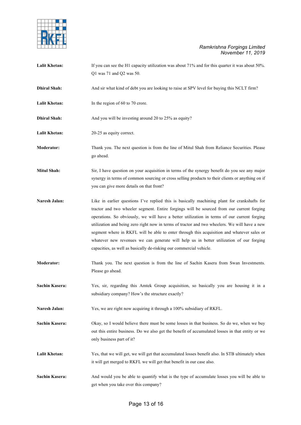

| <b>Lalit Khetan:</b>  | If you can see the H1 capacity utilization was about 71% and for this quarter it was about 50%.<br>Q1 was 71 and Q2 was 50.                                                                                                                                                                                                                                                                                                                                                                                                                                                                                                                               |
|-----------------------|-----------------------------------------------------------------------------------------------------------------------------------------------------------------------------------------------------------------------------------------------------------------------------------------------------------------------------------------------------------------------------------------------------------------------------------------------------------------------------------------------------------------------------------------------------------------------------------------------------------------------------------------------------------|
| <b>Dhiral Shah:</b>   | And sir what kind of debt you are looking to raise at SPV level for buying this NCLT firm?                                                                                                                                                                                                                                                                                                                                                                                                                                                                                                                                                                |
| <b>Lalit Khetan:</b>  | In the region of 60 to 70 crore.                                                                                                                                                                                                                                                                                                                                                                                                                                                                                                                                                                                                                          |
| <b>Dhiral Shah:</b>   | And you will be investing around 20 to 25% as equity?                                                                                                                                                                                                                                                                                                                                                                                                                                                                                                                                                                                                     |
| <b>Lalit Khetan:</b>  | 20-25 as equity correct.                                                                                                                                                                                                                                                                                                                                                                                                                                                                                                                                                                                                                                  |
| <b>Moderator:</b>     | Thank you. The next question is from the line of Mitul Shah from Reliance Securities. Please<br>go ahead.                                                                                                                                                                                                                                                                                                                                                                                                                                                                                                                                                 |
| <b>Mitul Shah:</b>    | Sir, I have question on your acquisition in terms of the synergy benefit do you see any major<br>synergy in terms of common sourcing or cross selling products to their clients or anything on if<br>you can give more details on that front?                                                                                                                                                                                                                                                                                                                                                                                                             |
| Naresh Jalan:         | Like in earlier questions I've replied this is basically machining plant for crankshafts for<br>tractor and two wheeler segment. Entire forgings will be sourced from our current forging<br>operations. So obviously, we will have a better utilization in terms of our current forging<br>utilization and being zero right now in terms of tractor and two wheelers. We will have a new<br>segment where in RKFL will be able to enter through this acquisition and whatever sales or<br>whatever new revenues we can generate will help us in better utilization of our forging<br>capacities, as well as basically de-risking our commercial vehicle. |
| <b>Moderator:</b>     | Thank you. The next question is from the line of Sachin Kasera from Swan Investments.<br>Please go ahead.                                                                                                                                                                                                                                                                                                                                                                                                                                                                                                                                                 |
| <b>Sachin Kasera:</b> | Yes, sir, regarding this Amtek Group acquisition, so basically you are housing it in a<br>subsidiary company? How's the structure exactly?                                                                                                                                                                                                                                                                                                                                                                                                                                                                                                                |
| Naresh Jalan:         | Yes, we are right now acquiring it through a 100% subsidiary of RKFL.                                                                                                                                                                                                                                                                                                                                                                                                                                                                                                                                                                                     |
| Sachin Kasera:        | Okay, so I would believe there must be some losses in that business. So do we, when we buy<br>out this entire business. Do we also get the benefit of accumulated losses in that entity or we<br>only business part of it?                                                                                                                                                                                                                                                                                                                                                                                                                                |
| <b>Lalit Khetan:</b>  | Yes, that we will get, we will get that accumulated losses benefit also. In STB ultimately when<br>it will get merged to RKFL we will get that benefit in our case also.                                                                                                                                                                                                                                                                                                                                                                                                                                                                                  |
| Sachin Kasera:        | And would you be able to quantify what is the type of accumulate losses you will be able to<br>get when you take over this company?                                                                                                                                                                                                                                                                                                                                                                                                                                                                                                                       |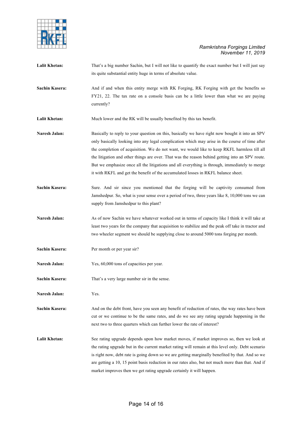

|                       | its quite substantial entity huge in terms of absolute value.                                                                                                                                                                                                                                                                                                                                                                                                                                                                                                                            |
|-----------------------|------------------------------------------------------------------------------------------------------------------------------------------------------------------------------------------------------------------------------------------------------------------------------------------------------------------------------------------------------------------------------------------------------------------------------------------------------------------------------------------------------------------------------------------------------------------------------------------|
| Sachin Kasera:        | And if and when this entity merge with RK Forging, RK Forging with get the benefits so<br>FY21, 22. The tax rate on a console basis can be a little lower than what we are paying<br>currently?                                                                                                                                                                                                                                                                                                                                                                                          |
| <b>Lalit Khetan:</b>  | Much lower and the RK will be usually benefited by this tax benefit.                                                                                                                                                                                                                                                                                                                                                                                                                                                                                                                     |
| Naresh Jalan:         | Basically to reply to your question on this, basically we have right now bought it into an SPV<br>only basically looking into any legal complication which may arise in the course of time after<br>the completion of acquisition. We do not want, we would like to keep RKFL harmless till all<br>the litigation and other things are over. That was the reason behind getting into an SPV route.<br>But we emphasize once all the litigations and all everything is through, immediately to merge<br>it with RKFL and get the benefit of the accumulated losses in RKFL balance sheet. |
| Sachin Kasera:        | Sure. And sir since you mentioned that the forging will be captivity consumed from<br>Jamshedpur. So, what is your sense over a period of two, three years like 8, 10,000 tons we can<br>supply from Jamshedpur to this plant?                                                                                                                                                                                                                                                                                                                                                           |
| Naresh Jalan:         | As of now Sachin we have whatever worked out in terms of capacity like I think it will take at<br>least two years for the company that acquisition to stabilize and the peak off take in tractor and<br>two wheeler segment we should be supplying close to around 5000 tons forging per month.                                                                                                                                                                                                                                                                                          |
| Sachin Kasera:        | Per month or per year sir?                                                                                                                                                                                                                                                                                                                                                                                                                                                                                                                                                               |
| Naresh Jalan:         | Yes, 60,000 tons of capacities per year.                                                                                                                                                                                                                                                                                                                                                                                                                                                                                                                                                 |
| <b>Sachin Kasera:</b> | That's a very large number sir in the sense.                                                                                                                                                                                                                                                                                                                                                                                                                                                                                                                                             |
| Naresh Jalan:         | Yes.                                                                                                                                                                                                                                                                                                                                                                                                                                                                                                                                                                                     |
| Sachin Kasera:        | And on the debt front, have you seen any benefit of reduction of rates, the way rates have been<br>cut or we continue to be the same rates, and do we see any rating upgrade happening in the<br>next two to three quarters which can further lower the rate of interest?                                                                                                                                                                                                                                                                                                                |
| <b>Lalit Khetan:</b>  | See rating upgrade depends upon how market moves, if market improves so, then we look at<br>the rating upgrade but in the current market rating will remain at this level only. Debt scenario<br>is right now, debt rate is going down so we are getting marginally benefited by that. And so we<br>are getting a 10, 15 point basis reduction in our rates also, but not much more than that. And if<br>market improves then we get rating upgrade certainly it will happen.                                                                                                            |

Lalit Khetan: That's a big number Sachin, but I will not like to quantify the exact number but I will just say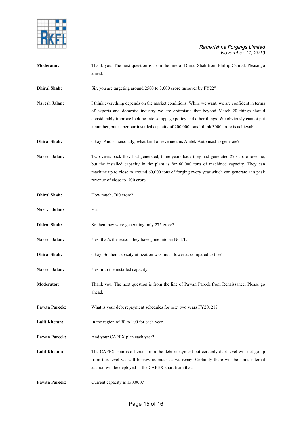

| Moderator:           | Thank you. The next question is from the line of Dhiral Shah from Phillip Capital. Please go<br>ahead.                                                                                                                                                                                                                                                                                  |
|----------------------|-----------------------------------------------------------------------------------------------------------------------------------------------------------------------------------------------------------------------------------------------------------------------------------------------------------------------------------------------------------------------------------------|
| <b>Dhiral Shah:</b>  | Sir, you are targeting around 2500 to 3,000 crore turnover by FY22?                                                                                                                                                                                                                                                                                                                     |
| Naresh Jalan:        | I think everything depends on the market conditions. While we want, we are confident in terms<br>of exports and domestic industry we are optimistic that beyond March 20 things should<br>considerably improve looking into scrappage policy and other things. We obviously cannot put<br>a number, but as per our installed capacity of 200,000 tons I think 3000 crore is achievable. |
| <b>Dhiral Shah:</b>  | Okay. And sir secondly, what kind of revenue this Amtek Auto used to generate?                                                                                                                                                                                                                                                                                                          |
| Naresh Jalan:        | Two years back they had generated, three years back they had generated 275 crore revenue,<br>but the installed capacity in the plant is for 60,000 tons of machined capacity. They can<br>machine up to close to around 60,000 tons of forging every year which can generate at a peak<br>revenue of close to 700 crore.                                                                |
| <b>Dhiral Shah:</b>  | How much, 700 crore?                                                                                                                                                                                                                                                                                                                                                                    |
| Naresh Jalan:        | Yes.                                                                                                                                                                                                                                                                                                                                                                                    |
| <b>Dhiral Shah:</b>  | So then they were generating only 275 crore?                                                                                                                                                                                                                                                                                                                                            |
| Naresh Jalan:        | Yes, that's the reason they have gone into an NCLT.                                                                                                                                                                                                                                                                                                                                     |
| <b>Dhiral Shah:</b>  | Okay. So then capacity utilization was much lower as compared to the?                                                                                                                                                                                                                                                                                                                   |
| Naresh Jalan:        | Yes, into the installed capacity.                                                                                                                                                                                                                                                                                                                                                       |
| <b>Moderator:</b>    | Thank you. The next question is from the line of Pawan Pareek from Renaissance. Please go<br>ahead.                                                                                                                                                                                                                                                                                     |
| <b>Pawan Pareek:</b> | What is your debt repayment schedules for next two years FY20, 21?                                                                                                                                                                                                                                                                                                                      |
| Lalit Khetan:        | In the region of 90 to 100 for each year.                                                                                                                                                                                                                                                                                                                                               |
| <b>Pawan Pareek:</b> | And your CAPEX plan each year?                                                                                                                                                                                                                                                                                                                                                          |
| <b>Lalit Khetan:</b> | The CAPEX plan is different from the debt repayment but certainly debt level will not go up<br>from this level we will borrow as much as we repay. Certainly there will be some internal<br>accrual will be deployed in the CAPEX apart from that.                                                                                                                                      |
| <b>Pawan Pareek:</b> | Current capacity is 150,000?                                                                                                                                                                                                                                                                                                                                                            |